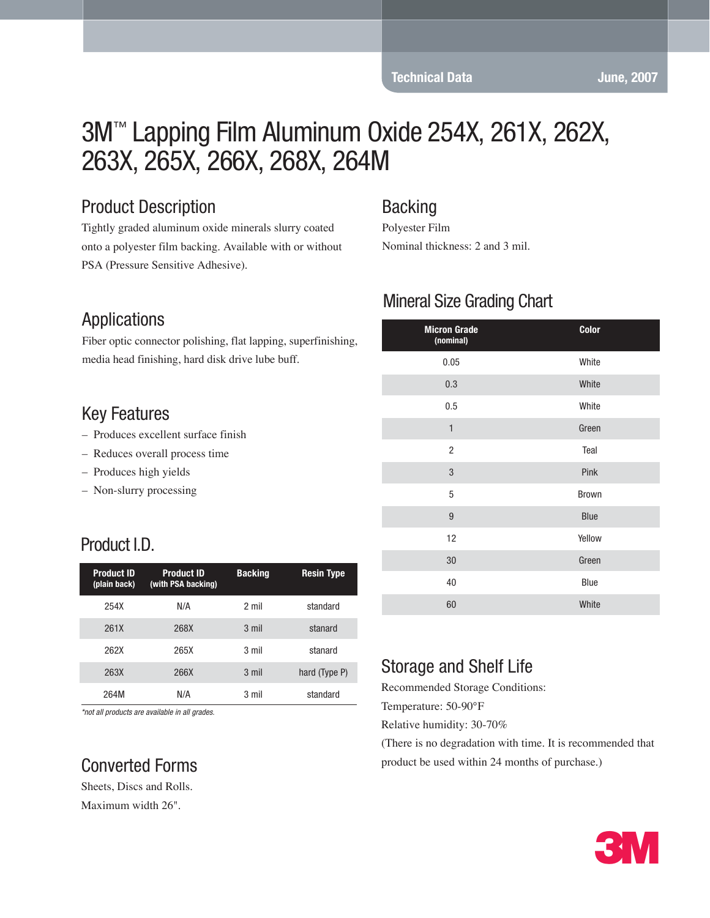#### **Technical Data** June, 2007

# 3M™ Lapping Film Aluminum Oxide 254X, 261X, 262X, 263X, 265X, 266X, 268X, 264M

## Product Description

Tightly graded aluminum oxide minerals slurry coated onto a polyester film backing. Available with or without PSA (Pressure Sensitive Adhesive).

#### **Backing**

Polyester Film Nominal thickness: 2 and 3 mil.

#### Applications

Fiber optic connector polishing, flat lapping, superfinishing, media head finishing, hard disk drive lube buff.

#### Key Features

- Produces excellent surface finish
- Reduces overall process time
- Produces high yields
- Non-slurry processing

## Product I.D.

| <b>Product ID</b><br>(plain back) | <b>Product ID</b><br>(with PSA backing) | <b>Backing</b> | <b>Resin Type</b> |
|-----------------------------------|-----------------------------------------|----------------|-------------------|
| 254X                              | N/A                                     | 2 mil          | standard          |
| 261X                              | 268X                                    | 3 mil          | stanard           |
| 262X                              | 265X                                    | 3 mil          | stanard           |
| 263X                              | 266X                                    | 3 mil          | hard (Type P)     |
| 264M                              | N/A                                     | 3 mil          | standard          |

*\*not all products are available in all grades.*

## Converted Forms

Sheets, Discs and Rolls. Maximum width 26".

## Mineral Size Grading Chart

| <b>Micron Grade</b><br>(nominal) | Color        |
|----------------------------------|--------------|
| 0.05                             | White        |
| 0.3                              | White        |
| 0.5                              | White        |
| $\mathbf{1}$                     | Green        |
| $\overline{2}$                   | Teal         |
| $\sqrt{3}$                       | Pink         |
| 5                                | <b>Brown</b> |
| 9                                | <b>Blue</b>  |
| 12                               | Yellow       |
| 30                               | Green        |
| 40                               | Blue         |
| 60                               | White        |

## Storage and Shelf Life

Recommended Storage Conditions:

Temperature: 50-90°F

Relative humidity: 30-70%

(There is no degradation with time. It is recommended that product be used within 24 months of purchase.)